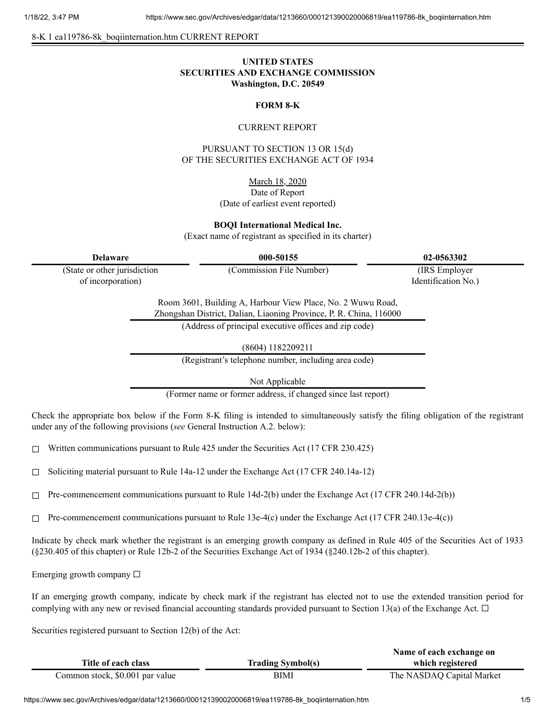8-K 1 ea119786-8k\_boqiinternation.htm CURRENT REPORT

# **UNITED STATES SECURITIES AND EXCHANGE COMMISSION Washington, D.C. 20549**

### **FORM 8-K**

### CURRENT REPORT

PURSUANT TO SECTION 13 OR 15(d) OF THE SECURITIES EXCHANGE ACT OF 1934

March 18, 2020

## Date of Report (Date of earliest event reported)

**BOQI International Medical Inc.**

(Exact name of registrant as specified in its charter)

**Delaware 000-50155 02-0563302**

(State or other jurisdiction of incorporation)

(Commission File Number) (IRS Employer

Identification No.)

Room 3601, Building A, Harbour View Place, No. 2 Wuwu Road, Zhongshan District, Dalian, Liaoning Province, P. R. China, 116000

(Address of principal executive offices and zip code)

(8604) 1182209211

(Registrant's telephone number, including area code)

Not Applicable

(Former name or former address, if changed since last report)

Check the appropriate box below if the Form 8-K filing is intended to simultaneously satisfy the filing obligation of the registrant under any of the following provisions (*see* General Instruction A.2. below):

 $\Box$  Written communications pursuant to Rule 425 under the Securities Act (17 CFR 230.425)

 $\Box$  Soliciting material pursuant to Rule 14a-12 under the Exchange Act (17 CFR 240.14a-12)

 $\Box$  Pre-commencement communications pursuant to Rule 14d-2(b) under the Exchange Act (17 CFR 240.14d-2(b))

 $\Box$  Pre-commencement communications pursuant to Rule 13e-4(c) under the Exchange Act (17 CFR 240.13e-4(c))

Indicate by check mark whether the registrant is an emerging growth company as defined in Rule 405 of the Securities Act of 1933 (§230.405 of this chapter) or Rule 12b-2 of the Securities Exchange Act of 1934 (§240.12b-2 of this chapter).

Emerging growth company  $\Box$ 

If an emerging growth company, indicate by check mark if the registrant has elected not to use the extended transition period for complying with any new or revised financial accounting standards provided pursuant to Section 13(a) of the Exchange Act.  $\Box$ 

Securities registered pursuant to Section 12(b) of the Act:

|                                 |                          | Name of each exchange on  |
|---------------------------------|--------------------------|---------------------------|
| Title of each class             | <b>Trading Symbol(s)</b> | which registered          |
| Common stock, \$0.001 par value | BIMI                     | The NASDAQ Capital Market |

https://www.sec.gov/Archives/edgar/data/1213660/000121390020006819/ea119786-8k\_boqiinternation.htm 1/5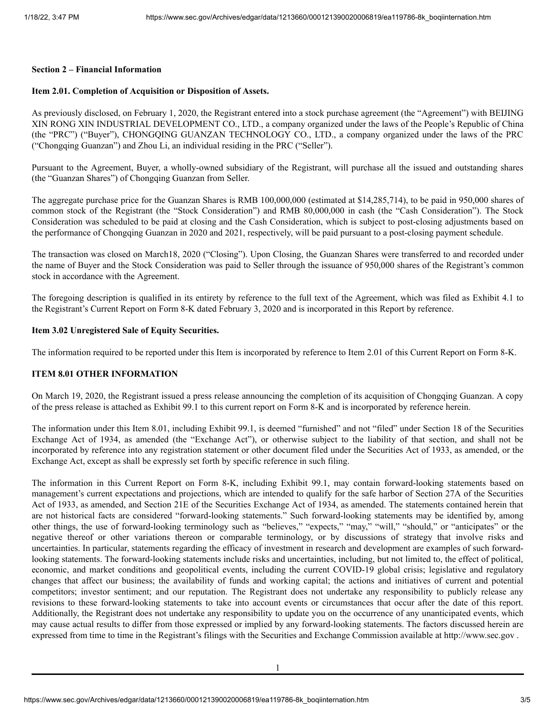### **Section 2 – Financial Information**

# **Item 2.01. Completion of Acquisition or Disposition of Assets.**

As previously disclosed, on February 1, 2020, the Registrant entered into a stock purchase agreement (the "Agreement") with BEIJING XIN RONG XIN INDUSTRIAL DEVELOPMENT CO., LTD., a company organized under the laws of the People's Republic of China (the "PRC") ("Buyer"), CHONGQING GUANZAN TECHNOLOGY CO., LTD., a company organized under the laws of the PRC ("Chongqing Guanzan") and Zhou Li, an individual residing in the PRC ("Seller").

Pursuant to the Agreement, Buyer, a wholly-owned subsidiary of the Registrant, will purchase all the issued and outstanding shares (the "Guanzan Shares") of Chongqing Guanzan from Seller.

The aggregate purchase price for the Guanzan Shares is RMB 100,000,000 (estimated at \$14,285,714), to be paid in 950,000 shares of common stock of the Registrant (the "Stock Consideration") and RMB 80,000,000 in cash (the "Cash Consideration"). The Stock Consideration was scheduled to be paid at closing and the Cash Consideration, which is subject to post-closing adjustments based on the performance of Chongqing Guanzan in 2020 and 2021, respectively, will be paid pursuant to a post-closing payment schedule.

The transaction was closed on March18, 2020 ("Closing"). Upon Closing, the Guanzan Shares were transferred to and recorded under the name of Buyer and the Stock Consideration was paid to Seller through the issuance of 950,000 shares of the Registrant's common stock in accordance with the Agreement.

The foregoing description is qualified in its entirety by reference to the full text of the Agreement, which was filed as Exhibit 4.1 to the Registrant's Current Report on Form 8-K dated February 3, 2020 and is incorporated in this Report by reference.

#### **Item 3.02 Unregistered Sale of Equity Securities.**

The information required to be reported under this Item is incorporated by reference to Item 2.01 of this Current Report on Form 8-K.

## **ITEM 8.01 OTHER INFORMATION**

On March 19, 2020, the Registrant issued a press release announcing the completion of its acquisition of Chongqing Guanzan. A copy of the press release is attached as Exhibit 99.1 to this current report on Form 8-K and is incorporated by reference herein.

The information under this Item 8.01, including Exhibit 99.1, is deemed "furnished" and not "filed" under Section 18 of the Securities Exchange Act of 1934, as amended (the "Exchange Act"), or otherwise subject to the liability of that section, and shall not be incorporated by reference into any registration statement or other document filed under the Securities Act of 1933, as amended, or the Exchange Act, except as shall be expressly set forth by specific reference in such filing.

The information in this Current Report on Form 8-K, including Exhibit 99.1, may contain forward-looking statements based on management's current expectations and projections, which are intended to qualify for the safe harbor of Section 27A of the Securities Act of 1933, as amended, and Section 21E of the Securities Exchange Act of 1934, as amended. The statements contained herein that are not historical facts are considered "forward-looking statements." Such forward-looking statements may be identified by, among other things, the use of forward-looking terminology such as "believes," "expects," "may," "will," "should," or "anticipates" or the negative thereof or other variations thereon or comparable terminology, or by discussions of strategy that involve risks and uncertainties. In particular, statements regarding the efficacy of investment in research and development are examples of such forwardlooking statements. The forward-looking statements include risks and uncertainties, including, but not limited to, the effect of political, economic, and market conditions and geopolitical events, including the current COVID-19 global crisis; legislative and regulatory changes that affect our business; the availability of funds and working capital; the actions and initiatives of current and potential competitors; investor sentiment; and our reputation. The Registrant does not undertake any responsibility to publicly release any revisions to these forward-looking statements to take into account events or circumstances that occur after the date of this report. Additionally, the Registrant does not undertake any responsibility to update you on the occurrence of any unanticipated events, which may cause actual results to differ from those expressed or implied by any forward-looking statements. The factors discussed herein are expressed from time to time in the Registrant's filings with the Securities and Exchange Commission available at http://www.sec.gov .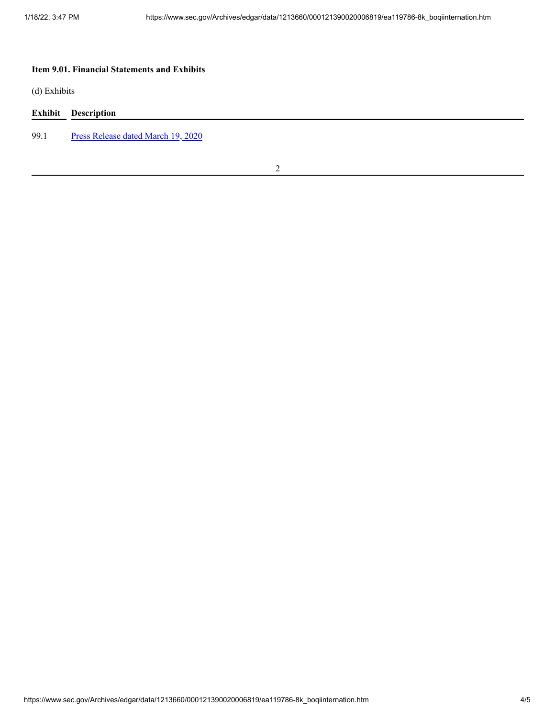# **Item 9.01. Financial Statements and Exhibits**

(d) Exhibits

|      | <b>Exhibit</b> Description         |
|------|------------------------------------|
| 99.1 | Press Release dated March 19, 2020 |